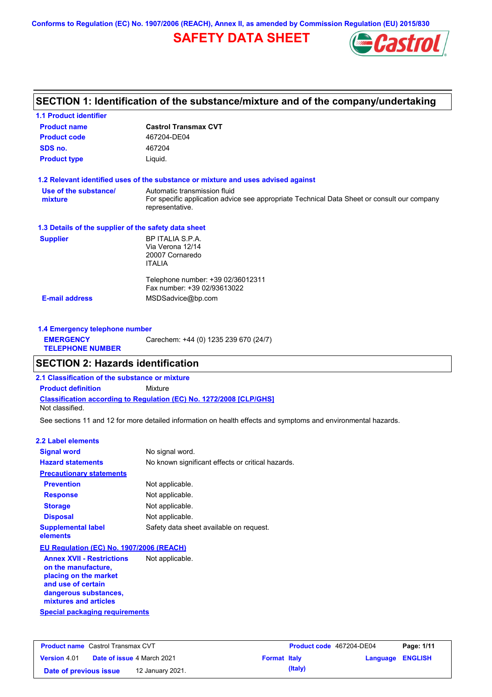**Conforms to Regulation (EC) No. 1907/2006 (REACH), Annex II, as amended by Commission Regulation (EU) 2015/830**

# **SAFETY DATA SHEET**



### **SECTION 1: Identification of the substance/mixture and of the company/undertaking**

| <b>Castrol Transmax CVT</b>                                                                                    |
|----------------------------------------------------------------------------------------------------------------|
| 467204-DE04                                                                                                    |
| 467204                                                                                                         |
| Liquid.                                                                                                        |
| 1.2 Relevant identified uses of the substance or mixture and uses advised against                              |
| Automatic transmission fluid                                                                                   |
| For specific application advice see appropriate Technical Data Sheet or consult our company<br>representative. |
| 1.3 Details of the supplier of the safety data sheet                                                           |
| BP ITALIA S.P.A.                                                                                               |
| Via Verona 12/14                                                                                               |
| 20007 Cornaredo                                                                                                |
| <b>ITALIA</b>                                                                                                  |
| Telephone number: +39 02/36012311                                                                              |
| Fax number: +39 02/93613022                                                                                    |
| MSDSadvice@bp.com                                                                                              |
|                                                                                                                |

| 1.4 Emergency telephone number              |                                       |
|---------------------------------------------|---------------------------------------|
| <b>EMERGENCY</b><br><b>TELEPHONE NUMBER</b> | Carechem: +44 (0) 1235 239 670 (24/7) |

### **SECTION 2: Hazards identification**

**2.1 Classification of the substance or mixture**

**Classification according to Regulation (EC) No. 1272/2008 [CLP/GHS] Product definition** Mixture

Not classified.

See sections 11 and 12 for more detailed information on health effects and symptoms and environmental hazards.

#### **2.2 Label elements**

| <b>Signal word</b>                                                                | No signal word.                                   |
|-----------------------------------------------------------------------------------|---------------------------------------------------|
| <b>Hazard statements</b>                                                          | No known significant effects or critical hazards. |
| <b>Precautionary statements</b>                                                   |                                                   |
| <b>Prevention</b>                                                                 | Not applicable.                                   |
| <b>Response</b>                                                                   | Not applicable.                                   |
| <b>Storage</b>                                                                    | Not applicable.                                   |
| <b>Disposal</b>                                                                   | Not applicable.                                   |
| <b>Supplemental label</b><br>elements                                             | Safety data sheet available on request.           |
| EU Regulation (EC) No. 1907/2006 (REACH)                                          |                                                   |
| <b>Annex XVII - Restrictions</b><br>on the manufacture,<br>mlaajma am Aha maawkat | Not applicable.                                   |

**Special packaging requirements placing on the market and use of certain dangerous substances, mixtures and articles**

| <b>Product name</b> Castrol Transmax CVT |  |                                   | Product code 467204-DE04 |         | Page: 1/11              |  |
|------------------------------------------|--|-----------------------------------|--------------------------|---------|-------------------------|--|
| <b>Version 4.01</b>                      |  | <b>Date of issue 4 March 2021</b> | <b>Format Italy</b>      |         | <b>Language ENGLISH</b> |  |
| Date of previous issue                   |  | 12 January 2021.                  |                          | (Italy) |                         |  |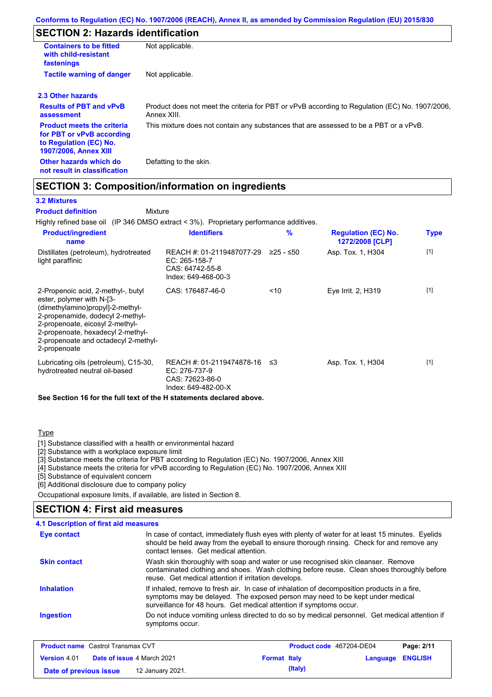## **SECTION 2: Hazards identification**

| <b>Containers to be fitted</b><br>with child-resistant<br>fastenings                                                     | Not applicable.                                                                                               |
|--------------------------------------------------------------------------------------------------------------------------|---------------------------------------------------------------------------------------------------------------|
| <b>Tactile warning of danger</b>                                                                                         | Not applicable.                                                                                               |
| 2.3 Other hazards                                                                                                        |                                                                                                               |
| <b>Results of PBT and vPvB</b><br>assessment                                                                             | Product does not meet the criteria for PBT or vPvB according to Regulation (EC) No. 1907/2006,<br>Annex XIII. |
| <b>Product meets the criteria</b><br>for PBT or vPvB according<br>to Regulation (EC) No.<br><b>1907/2006, Annex XIII</b> | This mixture does not contain any substances that are assessed to be a PBT or a vPvB.                         |
| Other hazards which do<br>not result in classification                                                                   | Defatting to the skin.                                                                                        |

### **SECTION 3: Composition/information on ingredients**

Mixture

### **3.2 Mixtures**

**Product definition**

Highly refined base oil (IP 346 DMSO extract < 3%). Proprietary performance additives.

| <b>Product/ingredient</b><br>name                                                                                                                                                                                                                                       | <b>Identifiers</b>                                                                   | $\%$        | <b>Regulation (EC) No.</b><br>1272/2008 [CLP] | <b>Type</b> |
|-------------------------------------------------------------------------------------------------------------------------------------------------------------------------------------------------------------------------------------------------------------------------|--------------------------------------------------------------------------------------|-------------|-----------------------------------------------|-------------|
| Distillates (petroleum), hydrotreated<br>light paraffinic                                                                                                                                                                                                               | REACH #: 01-2119487077-29<br>EC: 265-158-7<br>CAS: 64742-55-8<br>Index: 649-468-00-3 | $≥25 - ≤50$ | Asp. Tox. 1, H304                             | $[1]$       |
| 2-Propenoic acid, 2-methyl-, butyl<br>ester, polymer with N-[3-<br>(dimethylamino)propyl]-2-methyl-<br>2-propenamide, dodecyl 2-methyl-<br>2-propenoate, eicosyl 2-methyl-<br>2-propenoate, hexadecyl 2-methyl-<br>2-propenoate and octadecyl 2-methyl-<br>2-propenoate | CAS: 176487-46-0                                                                     | ~10         | Eye Irrit. 2, H319                            | $[1]$       |
| Lubricating oils (petroleum), C15-30,<br>hydrotreated neutral oil-based                                                                                                                                                                                                 | REACH #: 01-2119474878-16<br>EC: 276-737-9<br>CAS: 72623-86-0<br>Index: 649-482-00-X | ב≥          | Asp. Tox. 1, H304                             | $[1]$       |

**See Section 16 for the full text of the H statements declared above.**

### **Type**

[1] Substance classified with a health or environmental hazard

[2] Substance with a workplace exposure limit

[3] Substance meets the criteria for PBT according to Regulation (EC) No. 1907/2006, Annex XIII

[4] Substance meets the criteria for vPvB according to Regulation (EC) No. 1907/2006, Annex XIII

[5] Substance of equivalent concern

[6] Additional disclosure due to company policy

Occupational exposure limits, if available, are listed in Section 8.

### **SECTION 4: First aid measures**

| Eye contact         | In case of contact, immediately flush eyes with plenty of water for at least 15 minutes. Eyelids<br>should be held away from the eyeball to ensure thorough rinsing. Check for and remove any<br>contact lenses. Get medical attention.             |
|---------------------|-----------------------------------------------------------------------------------------------------------------------------------------------------------------------------------------------------------------------------------------------------|
| <b>Skin contact</b> | Wash skin thoroughly with soap and water or use recognised skin cleanser. Remove<br>contaminated clothing and shoes. Wash clothing before reuse. Clean shoes thoroughly before<br>reuse. Get medical attention if irritation develops.              |
| <b>Inhalation</b>   | If inhaled, remove to fresh air. In case of inhalation of decomposition products in a fire,<br>symptoms may be delayed. The exposed person may need to be kept under medical<br>surveillance for 48 hours. Get medical attention if symptoms occur. |
| Ingestion           | Do not induce vomiting unless directed to do so by medical personnel. Get medical attention if<br>symptoms occur.                                                                                                                                   |

| <b>Product name</b> Castrol Transmax CVT |  |                                   | <b>Product code</b> 467204-DE04 |         | Page: 2/11              |  |
|------------------------------------------|--|-----------------------------------|---------------------------------|---------|-------------------------|--|
| <b>Version</b> 4.01                      |  | <b>Date of issue 4 March 2021</b> | <b>Format Italy</b>             |         | <b>Language ENGLISH</b> |  |
| Date of previous issue                   |  | 12 January 2021.                  |                                 | (Italy) |                         |  |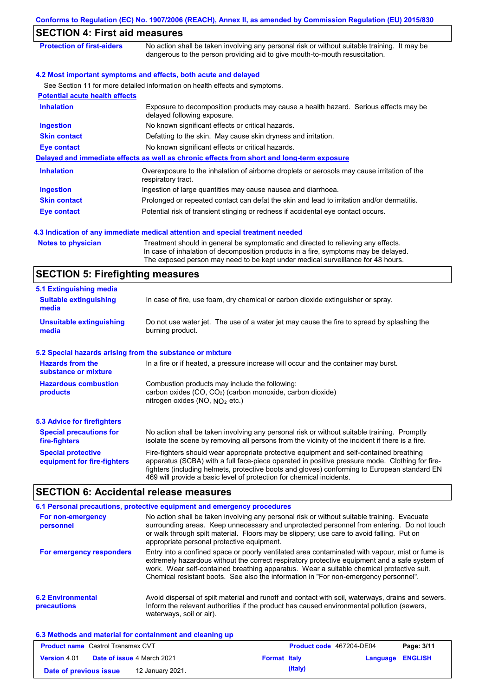| <b>SECTION 4: First aid measures</b>                      |                                                                                                                                                                                                                                                             |
|-----------------------------------------------------------|-------------------------------------------------------------------------------------------------------------------------------------------------------------------------------------------------------------------------------------------------------------|
| <b>Protection of first-aiders</b>                         | No action shall be taken involving any personal risk or without suitable training. It may be<br>dangerous to the person providing aid to give mouth-to-mouth resuscitation.                                                                                 |
|                                                           | 4.2 Most important symptoms and effects, both acute and delayed                                                                                                                                                                                             |
|                                                           | See Section 11 for more detailed information on health effects and symptoms.                                                                                                                                                                                |
| <b>Potential acute health effects</b>                     |                                                                                                                                                                                                                                                             |
| <b>Inhalation</b>                                         | Exposure to decomposition products may cause a health hazard. Serious effects may be<br>delayed following exposure.                                                                                                                                         |
| <b>Ingestion</b>                                          | No known significant effects or critical hazards.                                                                                                                                                                                                           |
| <b>Skin contact</b>                                       | Defatting to the skin. May cause skin dryness and irritation.                                                                                                                                                                                               |
| <b>Eye contact</b>                                        | No known significant effects or critical hazards.                                                                                                                                                                                                           |
|                                                           | Delayed and immediate effects as well as chronic effects from short and long-term exposure                                                                                                                                                                  |
| <b>Inhalation</b>                                         | Overexposure to the inhalation of airborne droplets or aerosols may cause irritation of the<br>respiratory tract.                                                                                                                                           |
| <b>Ingestion</b>                                          | Ingestion of large quantities may cause nausea and diarrhoea.                                                                                                                                                                                               |
| <b>Skin contact</b>                                       | Prolonged or repeated contact can defat the skin and lead to irritation and/or dermatitis.                                                                                                                                                                  |
| <b>Eye contact</b>                                        | Potential risk of transient stinging or redness if accidental eye contact occurs.                                                                                                                                                                           |
| <b>Notes to physician</b>                                 | Treatment should in general be symptomatic and directed to relieving any effects.<br>In case of inhalation of decomposition products in a fire, symptoms may be delayed.<br>The exposed person may need to be kept under medical surveillance for 48 hours. |
| <b>SECTION 5: Firefighting measures</b>                   |                                                                                                                                                                                                                                                             |
| 5.1 Extinguishing media                                   |                                                                                                                                                                                                                                                             |
| <b>Suitable extinguishing</b><br>media                    | In case of fire, use foam, dry chemical or carbon dioxide extinguisher or spray.                                                                                                                                                                            |
| <b>Unsuitable extinguishing</b><br>media                  | Do not use water jet. The use of a water jet may cause the fire to spread by splashing the<br>burning product.                                                                                                                                              |
| 5.2 Special hazards arising from the substance or mixture |                                                                                                                                                                                                                                                             |
| <b>Hazards from the</b><br>substance or mixture           | In a fire or if heated, a pressure increase will occur and the container may burst.                                                                                                                                                                         |
| <b>Hazardous combustion</b><br>products                   | Combustion products may include the following:<br>carbon oxides (CO, CO <sub>2</sub> ) (carbon monoxide, carbon dioxide)<br>nitrogen oxides (NO, $NO2$ etc.)                                                                                                |
| <b>5.3 Advice for firefighters</b>                        |                                                                                                                                                                                                                                                             |
| <b>Special precautions for</b><br>fire-fighters           | No action shall be taken involving any personal risk or without suitable training. Promptly<br>isolate the scene by removing all persons from the vicinity of the incident if there is a fire.                                                              |
| <b>Special protective</b><br>equipment for fire-fighters  | Fire-fighters should wear appropriate protective equipment and self-contained breathing<br>apparatus (SCBA) with a full face-piece operated in positive pressure mode. Clothing for fire-                                                                   |

# **SECTION 6: Accidental release measures**

|                                         | 6.1 Personal precautions, protective equipment and emergency procedures                                                                                                                                                                                                                                                                                                              |
|-----------------------------------------|--------------------------------------------------------------------------------------------------------------------------------------------------------------------------------------------------------------------------------------------------------------------------------------------------------------------------------------------------------------------------------------|
| For non-emergency<br>personnel          | No action shall be taken involving any personal risk or without suitable training. Evacuate<br>surrounding areas. Keep unnecessary and unprotected personnel from entering. Do not touch<br>or walk through spilt material. Floors may be slippery; use care to avoid falling. Put on<br>appropriate personal protective equipment.                                                  |
| For emergency responders                | Entry into a confined space or poorly ventilated area contaminated with vapour, mist or fume is<br>extremely hazardous without the correct respiratory protective equipment and a safe system of<br>work. Wear self-contained breathing apparatus. Wear a suitable chemical protective suit.<br>Chemical resistant boots. See also the information in "For non-emergency personnel". |
| <b>6.2 Environmental</b><br>precautions | Avoid dispersal of spilt material and runoff and contact with soil, waterways, drains and sewers.<br>Inform the relevant authorities if the product has caused environmental pollution (sewers,<br>waterways, soil or air).                                                                                                                                                          |

469 will provide a basic level of protection for chemical incidents.

fighters (including helmets, protective boots and gloves) conforming to European standard EN

| 6.3 Methods and material for containment and cleaning up |  |
|----------------------------------------------------------|--|
|----------------------------------------------------------|--|

| <b>Product name</b> Castrol Transmax CVT |                                   |                  | <b>Product code</b> 467204-DE04 | Page: 3/11 |                         |  |
|------------------------------------------|-----------------------------------|------------------|---------------------------------|------------|-------------------------|--|
| <b>Version 4.01</b>                      | <b>Date of issue 4 March 2021</b> |                  | <b>Format Italy</b>             |            | <b>Language ENGLISH</b> |  |
| Date of previous issue                   |                                   | 12 January 2021. |                                 | (Italy)    |                         |  |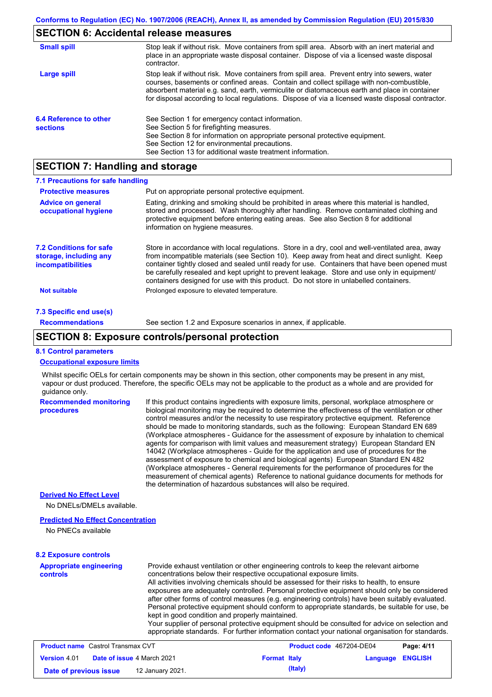# **SECTION 6: Accidental release measures**

| <b>Small spill</b>                        | Stop leak if without risk. Move containers from spill area. Absorb with an inert material and<br>place in an appropriate waste disposal container. Dispose of via a licensed waste disposal<br>contractor.                                                                                                                                                                                     |
|-------------------------------------------|------------------------------------------------------------------------------------------------------------------------------------------------------------------------------------------------------------------------------------------------------------------------------------------------------------------------------------------------------------------------------------------------|
| <b>Large spill</b>                        | Stop leak if without risk. Move containers from spill area. Prevent entry into sewers, water<br>courses, basements or confined areas. Contain and collect spillage with non-combustible,<br>absorbent material e.g. sand, earth, vermiculite or diatomaceous earth and place in container<br>for disposal according to local regulations. Dispose of via a licensed waste disposal contractor. |
| 6.4 Reference to other<br><b>sections</b> | See Section 1 for emergency contact information.<br>See Section 5 for firefighting measures.<br>See Section 8 for information on appropriate personal protective equipment.<br>See Section 12 for environmental precautions.<br>See Section 13 for additional waste treatment information.                                                                                                     |

# **SECTION 7: Handling and storage**

| 7.1 Precautions for safe handling                                                    |                                                                                                                                                                                                                                                                                                                                                                                                                                                                                          |  |  |  |  |
|--------------------------------------------------------------------------------------|------------------------------------------------------------------------------------------------------------------------------------------------------------------------------------------------------------------------------------------------------------------------------------------------------------------------------------------------------------------------------------------------------------------------------------------------------------------------------------------|--|--|--|--|
| <b>Protective measures</b><br>Put on appropriate personal protective equipment.      |                                                                                                                                                                                                                                                                                                                                                                                                                                                                                          |  |  |  |  |
| <b>Advice on general</b><br>occupational hygiene                                     | Eating, drinking and smoking should be prohibited in areas where this material is handled.<br>stored and processed. Wash thoroughly after handling. Remove contaminated clothing and<br>protective equipment before entering eating areas. See also Section 8 for additional<br>information on hygiene measures.                                                                                                                                                                         |  |  |  |  |
| <b>7.2 Conditions for safe</b><br>storage, including any<br><i>incompatibilities</i> | Store in accordance with local requiations. Store in a dry, cool and well-ventilated area, away<br>from incompatible materials (see Section 10). Keep away from heat and direct sunlight. Keep<br>container tightly closed and sealed until ready for use. Containers that have been opened must<br>be carefully resealed and kept upright to prevent leakage. Store and use only in equipment/<br>containers designed for use with this product. Do not store in unlabelled containers. |  |  |  |  |
| <b>Not suitable</b>                                                                  | Prolonged exposure to elevated temperature.                                                                                                                                                                                                                                                                                                                                                                                                                                              |  |  |  |  |
| 7.3 Specific end use(s)                                                              |                                                                                                                                                                                                                                                                                                                                                                                                                                                                                          |  |  |  |  |
| <b>Recommendations</b>                                                               | See section 1.2 and Exposure scenarios in annex, if applicable.                                                                                                                                                                                                                                                                                                                                                                                                                          |  |  |  |  |

### **SECTION 8: Exposure controls/personal protection**

#### **8.1 Control parameters**

#### **Occupational exposure limits**

Whilst specific OELs for certain components may be shown in this section, other components may be present in any mist, vapour or dust produced. Therefore, the specific OELs may not be applicable to the product as a whole and are provided for guidance only.

| <b>Recommended monitoring</b><br>procedures | If this product contains ingredients with exposure limits, personal, workplace atmosphere or<br>biological monitoring may be required to determine the effectiveness of the ventilation or other<br>control measures and/or the necessity to use respiratory protective equipment. Reference<br>should be made to monitoring standards, such as the following: European Standard EN 689<br>(Workplace atmospheres - Guidance for the assessment of exposure by inhalation to chemical<br>agents for comparison with limit values and measurement strategy) European Standard EN<br>14042 (Workplace atmospheres - Guide for the application and use of procedures for the<br>assessment of exposure to chemical and biological agents) European Standard EN 482<br>(Workplace atmospheres - General requirements for the performance of procedures for the<br>measurement of chemical agents) Reference to national quidance documents for methods for<br>the determination of hazardous substances will also be required. |
|---------------------------------------------|----------------------------------------------------------------------------------------------------------------------------------------------------------------------------------------------------------------------------------------------------------------------------------------------------------------------------------------------------------------------------------------------------------------------------------------------------------------------------------------------------------------------------------------------------------------------------------------------------------------------------------------------------------------------------------------------------------------------------------------------------------------------------------------------------------------------------------------------------------------------------------------------------------------------------------------------------------------------------------------------------------------------------|
| <b>Derived No Effect Level</b>              |                                                                                                                                                                                                                                                                                                                                                                                                                                                                                                                                                                                                                                                                                                                                                                                                                                                                                                                                                                                                                            |
| No DNELs/DMELs available.                   |                                                                                                                                                                                                                                                                                                                                                                                                                                                                                                                                                                                                                                                                                                                                                                                                                                                                                                                                                                                                                            |
|                                             |                                                                                                                                                                                                                                                                                                                                                                                                                                                                                                                                                                                                                                                                                                                                                                                                                                                                                                                                                                                                                            |

#### **Predicted No Effect Concentration**

No PNECs available

#### **8.2 Exposure controls**

| <b>Appropriate engineering</b><br><b>controls</b> | Provide exhaust ventilation or other engineering controls to keep the relevant airborne<br>concentrations below their respective occupational exposure limits.<br>All activities involving chemicals should be assessed for their risks to health, to ensure<br>exposures are adequately controlled. Personal protective equipment should only be considered<br>after other forms of control measures (e.g. engineering controls) have been suitably evaluated.<br>Personal protective equipment should conform to appropriate standards, be suitable for use, be<br>kept in good condition and properly maintained.<br>Your supplier of personal protective equipment should be consulted for advice on selection and<br>appropriate standards. For further information contact your national organisation for standards. |
|---------------------------------------------------|----------------------------------------------------------------------------------------------------------------------------------------------------------------------------------------------------------------------------------------------------------------------------------------------------------------------------------------------------------------------------------------------------------------------------------------------------------------------------------------------------------------------------------------------------------------------------------------------------------------------------------------------------------------------------------------------------------------------------------------------------------------------------------------------------------------------------|
|---------------------------------------------------|----------------------------------------------------------------------------------------------------------------------------------------------------------------------------------------------------------------------------------------------------------------------------------------------------------------------------------------------------------------------------------------------------------------------------------------------------------------------------------------------------------------------------------------------------------------------------------------------------------------------------------------------------------------------------------------------------------------------------------------------------------------------------------------------------------------------------|

| <b>Product name</b> Castrol Transmax CVT |  |                                   | Product code 467204-DE04 |         | Page: 4/11       |  |
|------------------------------------------|--|-----------------------------------|--------------------------|---------|------------------|--|
| <b>Version 4.01</b>                      |  | <b>Date of issue 4 March 2021</b> | <b>Format Italy</b>      |         | Language ENGLISH |  |
| Date of previous issue                   |  | 12 January 2021.                  |                          | (Italy) |                  |  |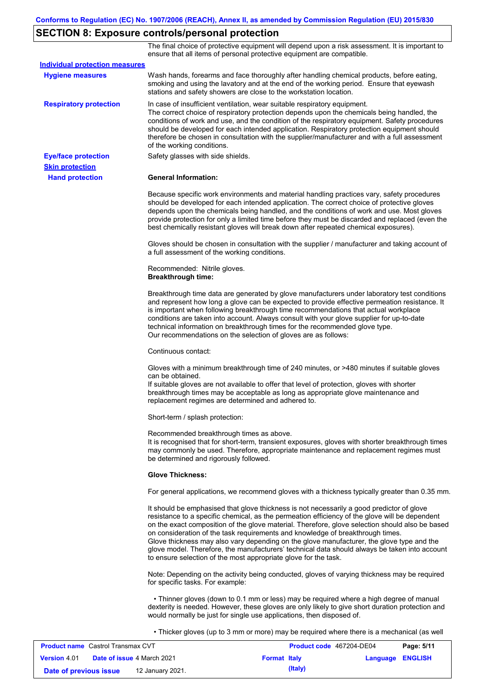# **SECTION 8: Exposure controls/personal protection**

The final choice of protective equipment will depend upon a risk assessment. It is important to ensure that all items of personal protective equipment are compatible.

| <b>Individual protection measures</b> |                                                                                                                                                                                                                                                                                                                                                                                                                                                                                                                                                                                                                                                   |
|---------------------------------------|---------------------------------------------------------------------------------------------------------------------------------------------------------------------------------------------------------------------------------------------------------------------------------------------------------------------------------------------------------------------------------------------------------------------------------------------------------------------------------------------------------------------------------------------------------------------------------------------------------------------------------------------------|
| <b>Hygiene measures</b>               | Wash hands, forearms and face thoroughly after handling chemical products, before eating,<br>smoking and using the lavatory and at the end of the working period. Ensure that eyewash<br>stations and safety showers are close to the workstation location.                                                                                                                                                                                                                                                                                                                                                                                       |
| <b>Respiratory protection</b>         | In case of insufficient ventilation, wear suitable respiratory equipment.<br>The correct choice of respiratory protection depends upon the chemicals being handled, the<br>conditions of work and use, and the condition of the respiratory equipment. Safety procedures<br>should be developed for each intended application. Respiratory protection equipment should<br>therefore be chosen in consultation with the supplier/manufacturer and with a full assessment<br>of the working conditions.                                                                                                                                             |
| <b>Eye/face protection</b>            | Safety glasses with side shields.                                                                                                                                                                                                                                                                                                                                                                                                                                                                                                                                                                                                                 |
| <b>Skin protection</b>                |                                                                                                                                                                                                                                                                                                                                                                                                                                                                                                                                                                                                                                                   |
| <b>Hand protection</b>                | <b>General Information:</b>                                                                                                                                                                                                                                                                                                                                                                                                                                                                                                                                                                                                                       |
|                                       | Because specific work environments and material handling practices vary, safety procedures<br>should be developed for each intended application. The correct choice of protective gloves<br>depends upon the chemicals being handled, and the conditions of work and use. Most gloves<br>provide protection for only a limited time before they must be discarded and replaced (even the<br>best chemically resistant gloves will break down after repeated chemical exposures).                                                                                                                                                                  |
|                                       | Gloves should be chosen in consultation with the supplier / manufacturer and taking account of<br>a full assessment of the working conditions.                                                                                                                                                                                                                                                                                                                                                                                                                                                                                                    |
|                                       | Recommended: Nitrile gloves.<br><b>Breakthrough time:</b>                                                                                                                                                                                                                                                                                                                                                                                                                                                                                                                                                                                         |
|                                       | Breakthrough time data are generated by glove manufacturers under laboratory test conditions<br>and represent how long a glove can be expected to provide effective permeation resistance. It<br>is important when following breakthrough time recommendations that actual workplace<br>conditions are taken into account. Always consult with your glove supplier for up-to-date<br>technical information on breakthrough times for the recommended glove type.<br>Our recommendations on the selection of gloves are as follows:                                                                                                                |
|                                       | Continuous contact:                                                                                                                                                                                                                                                                                                                                                                                                                                                                                                                                                                                                                               |
|                                       | Gloves with a minimum breakthrough time of 240 minutes, or >480 minutes if suitable gloves<br>can be obtained.<br>If suitable gloves are not available to offer that level of protection, gloves with shorter<br>breakthrough times may be acceptable as long as appropriate glove maintenance and<br>replacement regimes are determined and adhered to.                                                                                                                                                                                                                                                                                          |
|                                       | Short-term / splash protection:                                                                                                                                                                                                                                                                                                                                                                                                                                                                                                                                                                                                                   |
|                                       | Recommended breakthrough times as above.<br>It is recognised that for short-term, transient exposures, gloves with shorter breakthrough times<br>may commonly be used. Therefore, appropriate maintenance and replacement regimes must<br>be determined and rigorously followed.                                                                                                                                                                                                                                                                                                                                                                  |
|                                       | <b>Glove Thickness:</b>                                                                                                                                                                                                                                                                                                                                                                                                                                                                                                                                                                                                                           |
|                                       | For general applications, we recommend gloves with a thickness typically greater than 0.35 mm.                                                                                                                                                                                                                                                                                                                                                                                                                                                                                                                                                    |
|                                       | It should be emphasised that glove thickness is not necessarily a good predictor of glove<br>resistance to a specific chemical, as the permeation efficiency of the glove will be dependent<br>on the exact composition of the glove material. Therefore, glove selection should also be based<br>on consideration of the task requirements and knowledge of breakthrough times.<br>Glove thickness may also vary depending on the glove manufacturer, the glove type and the<br>glove model. Therefore, the manufacturers' technical data should always be taken into account<br>to ensure selection of the most appropriate glove for the task. |
|                                       | Note: Depending on the activity being conducted, gloves of varying thickness may be required<br>for specific tasks. For example:                                                                                                                                                                                                                                                                                                                                                                                                                                                                                                                  |
|                                       | • Thinner gloves (down to 0.1 mm or less) may be required where a high degree of manual<br>dexterity is needed. However, these gloves are only likely to give short duration protection and<br>would normally be just for single use applications, then disposed of.                                                                                                                                                                                                                                                                                                                                                                              |
|                                       | • Thicker gloves (up to 3 mm or more) may be required where there is a mechanical (as well                                                                                                                                                                                                                                                                                                                                                                                                                                                                                                                                                        |

| <b>Product name</b> Castrol Transmax CVT |  | Product code 467204-DE04          |                     | Page: 5/11 |                         |  |
|------------------------------------------|--|-----------------------------------|---------------------|------------|-------------------------|--|
| <b>Version 4.01</b>                      |  | <b>Date of issue 4 March 2021</b> | <b>Format Italy</b> |            | <b>Language ENGLISH</b> |  |
| Date of previous issue                   |  | 12 January 2021.                  |                     | (Italy)    |                         |  |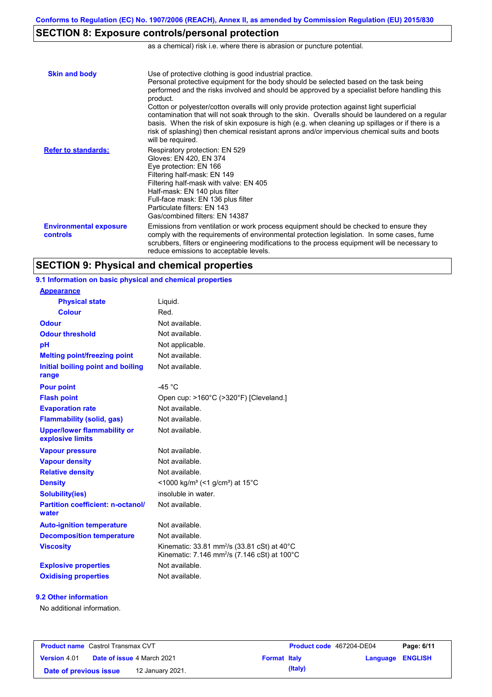# **SECTION 8: Exposure controls/personal protection**

as a chemical) risk i.e. where there is abrasion or puncture potential.

| <b>Skin and body</b>                             | Use of protective clothing is good industrial practice.<br>Personal protective equipment for the body should be selected based on the task being<br>performed and the risks involved and should be approved by a specialist before handling this<br>product.<br>Cotton or polyester/cotton overalls will only provide protection against light superficial<br>contamination that will not soak through to the skin. Overalls should be laundered on a regular<br>basis. When the risk of skin exposure is high (e.g. when cleaning up spillages or if there is a<br>risk of splashing) then chemical resistant aprons and/or impervious chemical suits and boots<br>will be required. |
|--------------------------------------------------|---------------------------------------------------------------------------------------------------------------------------------------------------------------------------------------------------------------------------------------------------------------------------------------------------------------------------------------------------------------------------------------------------------------------------------------------------------------------------------------------------------------------------------------------------------------------------------------------------------------------------------------------------------------------------------------|
| <b>Refer to standards:</b>                       | Respiratory protection: EN 529<br>Gloves: EN 420, EN 374<br>Eye protection: EN 166<br>Filtering half-mask: EN 149<br>Filtering half-mask with valve: EN 405<br>Half-mask: EN 140 plus filter<br>Full-face mask: EN 136 plus filter<br>Particulate filters: EN 143<br>Gas/combined filters: EN 14387                                                                                                                                                                                                                                                                                                                                                                                   |
| <b>Environmental exposure</b><br><b>controls</b> | Emissions from ventilation or work process equipment should be checked to ensure they<br>comply with the requirements of environmental protection legislation. In some cases, fume<br>scrubbers, filters or engineering modifications to the process equipment will be necessary to<br>reduce emissions to acceptable levels.                                                                                                                                                                                                                                                                                                                                                         |

## **SECTION 9: Physical and chemical properties**

**9.1 Information on basic physical and chemical properties**

| <b>Appearance</b>                                      |                                                                                                                                           |
|--------------------------------------------------------|-------------------------------------------------------------------------------------------------------------------------------------------|
| <b>Physical state</b>                                  | Liguid.                                                                                                                                   |
| <b>Colour</b>                                          | Red.                                                                                                                                      |
| <b>Odour</b>                                           | Not available.                                                                                                                            |
| <b>Odour threshold</b>                                 | Not available.                                                                                                                            |
| pH                                                     | Not applicable.                                                                                                                           |
| <b>Melting point/freezing point</b>                    | Not available.                                                                                                                            |
| Initial boiling point and boiling<br>range             | Not available.                                                                                                                            |
| <b>Pour point</b>                                      | $-45 °C$                                                                                                                                  |
| <b>Flash point</b>                                     | Open cup: >160°C (>320°F) [Cleveland.]                                                                                                    |
| <b>Evaporation rate</b>                                | Not available.                                                                                                                            |
| <b>Flammability (solid, gas)</b>                       | Not available.                                                                                                                            |
| <b>Upper/lower flammability or</b><br>explosive limits | Not available.                                                                                                                            |
| <b>Vapour pressure</b>                                 | Not available.                                                                                                                            |
| <b>Vapour density</b>                                  | Not available.                                                                                                                            |
| <b>Relative density</b>                                | Not available.                                                                                                                            |
| <b>Density</b>                                         | <1000 kg/m <sup>3</sup> (<1 g/cm <sup>3</sup> ) at 15 <sup>°</sup> C                                                                      |
| <b>Solubility(ies)</b>                                 | insoluble in water.                                                                                                                       |
| <b>Partition coefficient: n-octanol/</b><br>water      | Not available.                                                                                                                            |
| <b>Auto-ignition temperature</b>                       | Not available.                                                                                                                            |
| <b>Decomposition temperature</b>                       | Not available.                                                                                                                            |
| <b>Viscosity</b>                                       | Kinematic: $33.81$ mm <sup>2</sup> /s $(33.81 \text{ cSt})$ at $40^{\circ}$ C<br>Kinematic: 7.146 mm <sup>2</sup> /s (7.146 cSt) at 100°C |
| <b>Explosive properties</b>                            | Not available.                                                                                                                            |
| <b>Oxidising properties</b>                            | Not available.                                                                                                                            |

### **9.2 Other information**

No additional information.

| <b>Product name</b> Castrol Transmax CVT |  | <b>Product code</b> 467204-DE04   |                     | Page: 6/11 |                         |  |
|------------------------------------------|--|-----------------------------------|---------------------|------------|-------------------------|--|
| <b>Version</b> 4.01                      |  | <b>Date of issue 4 March 2021</b> | <b>Format Italy</b> |            | <b>Language ENGLISH</b> |  |
| Date of previous issue                   |  | 12 January 2021.                  |                     | (Italy)    |                         |  |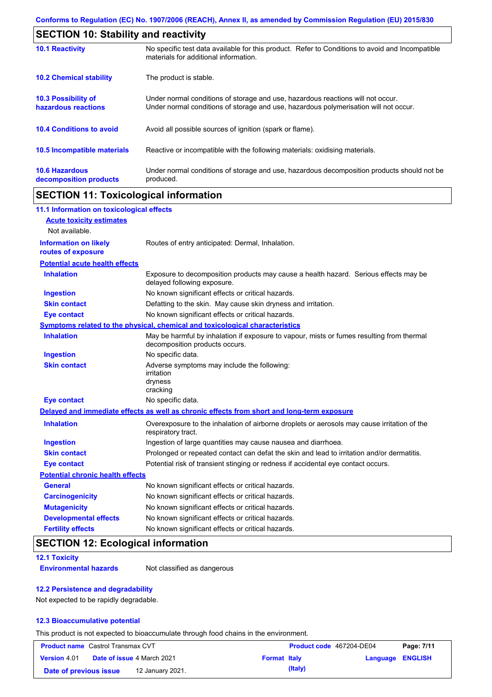| <b>SECTION 10: Stability and reactivity</b>       |                                                                                                                                                                         |  |  |
|---------------------------------------------------|-------------------------------------------------------------------------------------------------------------------------------------------------------------------------|--|--|
| <b>10.1 Reactivity</b>                            | No specific test data available for this product. Refer to Conditions to avoid and Incompatible<br>materials for additional information.                                |  |  |
| <b>10.2 Chemical stability</b>                    | The product is stable.                                                                                                                                                  |  |  |
| <b>10.3 Possibility of</b><br>hazardous reactions | Under normal conditions of storage and use, hazardous reactions will not occur.<br>Under normal conditions of storage and use, hazardous polymerisation will not occur. |  |  |
| <b>10.4 Conditions to avoid</b>                   | Avoid all possible sources of ignition (spark or flame).                                                                                                                |  |  |
| 10.5 Incompatible materials                       | Reactive or incompatible with the following materials: oxidising materials.                                                                                             |  |  |
| <b>10.6 Hazardous</b><br>decomposition products   | Under normal conditions of storage and use, hazardous decomposition products should not be<br>produced.                                                                 |  |  |

# **SECTION 11: Toxicological information**

| 11.1 Information on toxicological effects          |                                                                                                                             |
|----------------------------------------------------|-----------------------------------------------------------------------------------------------------------------------------|
| <b>Acute toxicity estimates</b>                    |                                                                                                                             |
| Not available.                                     |                                                                                                                             |
| <b>Information on likely</b><br>routes of exposure | Routes of entry anticipated: Dermal, Inhalation.                                                                            |
| <b>Potential acute health effects</b>              |                                                                                                                             |
| <b>Inhalation</b>                                  | Exposure to decomposition products may cause a health hazard. Serious effects may be<br>delayed following exposure.         |
| <b>Ingestion</b>                                   | No known significant effects or critical hazards.                                                                           |
| <b>Skin contact</b>                                | Defatting to the skin. May cause skin dryness and irritation.                                                               |
| <b>Eye contact</b>                                 | No known significant effects or critical hazards.                                                                           |
|                                                    | Symptoms related to the physical, chemical and toxicological characteristics                                                |
| <b>Inhalation</b>                                  | May be harmful by inhalation if exposure to vapour, mists or fumes resulting from thermal<br>decomposition products occurs. |
| <b>Ingestion</b>                                   | No specific data.                                                                                                           |
| <b>Skin contact</b>                                | Adverse symptoms may include the following:<br>irritation<br>dryness<br>cracking                                            |
| <b>Eye contact</b>                                 | No specific data.                                                                                                           |
|                                                    | Delayed and immediate effects as well as chronic effects from short and long-term exposure                                  |
| <b>Inhalation</b>                                  | Overexposure to the inhalation of airborne droplets or aerosols may cause irritation of the<br>respiratory tract.           |
| <b>Ingestion</b>                                   | Ingestion of large quantities may cause nausea and diarrhoea.                                                               |
| <b>Skin contact</b>                                | Prolonged or repeated contact can defat the skin and lead to irritation and/or dermatitis.                                  |
| <b>Eye contact</b>                                 | Potential risk of transient stinging or redness if accidental eye contact occurs.                                           |
| <b>Potential chronic health effects</b>            |                                                                                                                             |
| <b>General</b>                                     | No known significant effects or critical hazards.                                                                           |
| <b>Carcinogenicity</b>                             | No known significant effects or critical hazards.                                                                           |
| <b>Mutagenicity</b>                                | No known significant effects or critical hazards.                                                                           |
| <b>Developmental effects</b>                       | No known significant effects or critical hazards.                                                                           |
| <b>Fertility effects</b>                           | No known significant effects or critical hazards.                                                                           |

# **SECTION 12: Ecological information**

### **12.1 Toxicity**

**Environmental hazards** Not classified as dangerous

### **12.2 Persistence and degradability**

Not expected to be rapidly degradable.

### **12.3 Bioaccumulative potential**

This product is not expected to bioaccumulate through food chains in the environment.

| <b>Product name</b> Castrol Transmax CVT |                                   |                     | <b>Product code</b> 467204-DE04 |                  | Page: 7/11 |
|------------------------------------------|-----------------------------------|---------------------|---------------------------------|------------------|------------|
| <b>Version 4.01</b>                      | <b>Date of issue 4 March 2021</b> | <b>Format Italy</b> |                                 | Language ENGLISH |            |
| Date of previous issue                   | 12 January 2021.                  |                     | (Italy)                         |                  |            |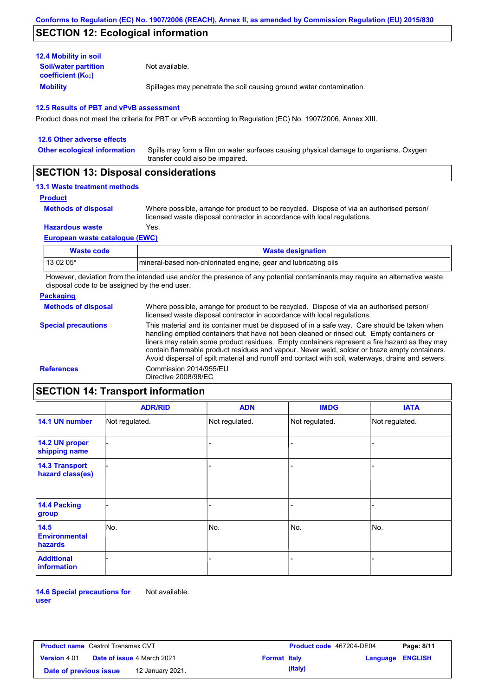## **SECTION 12: Ecological information**

| <b>12.4 Mobility in soil</b>                            |                                                                      |
|---------------------------------------------------------|----------------------------------------------------------------------|
| <b>Soil/water partition</b><br><b>coefficient (Koc)</b> | Not available.                                                       |
| <b>Mobility</b>                                         | Spillages may penetrate the soil causing ground water contamination. |

#### **12.5 Results of PBT and vPvB assessment**

Product does not meet the criteria for PBT or vPvB according to Regulation (EC) No. 1907/2006, Annex XIII.

| 12.6 Other adverse effects          |                                                                                                                           |
|-------------------------------------|---------------------------------------------------------------------------------------------------------------------------|
| <b>Other ecological information</b> | Spills may form a film on water surfaces causing physical damage to organisms. Oxygen<br>transfer could also be impaired. |
|                                     |                                                                                                                           |

### **SECTION 13: Disposal considerations**

### **13.1 Waste treatment methods**

**Product**

```
Methods of disposal
```
Where possible, arrange for product to be recycled. Dispose of via an authorised person/ licensed waste disposal contractor in accordance with local regulations.

**Hazardous waste** Yes.

#### **European waste catalogue (EWC)**

| Waste code | <b>Waste designation</b>                                         |
|------------|------------------------------------------------------------------|
| 13 02 05*  | Imineral-based non-chlorinated engine, gear and lubricating oils |

However, deviation from the intended use and/or the presence of any potential contaminants may require an alternative waste disposal code to be assigned by the end user.

### **Packaging**

| <b>Methods of disposal</b>                                                                                                                                                                                                                                                                                                                                                                                                                                                                                                    | Where possible, arrange for product to be recycled. Dispose of via an authorised person/<br>licensed waste disposal contractor in accordance with local regulations. |
|-------------------------------------------------------------------------------------------------------------------------------------------------------------------------------------------------------------------------------------------------------------------------------------------------------------------------------------------------------------------------------------------------------------------------------------------------------------------------------------------------------------------------------|----------------------------------------------------------------------------------------------------------------------------------------------------------------------|
| This material and its container must be disposed of in a safe way. Care should be taken when<br><b>Special precautions</b><br>handling emptied containers that have not been cleaned or rinsed out. Empty containers or<br>liners may retain some product residues. Empty containers represent a fire hazard as they may<br>contain flammable product residues and vapour. Never weld, solder or braze empty containers.<br>Avoid dispersal of spilt material and runoff and contact with soil, waterways, drains and sewers. |                                                                                                                                                                      |
| <b>References</b>                                                                                                                                                                                                                                                                                                                                                                                                                                                                                                             | Commission 2014/955/EU<br>Directive 2008/98/EC                                                                                                                       |

# **SECTION 14: Transport information**

|                                           | <b>ADR/RID</b> | <b>ADN</b>     | <b>IMDG</b>    | <b>IATA</b>    |
|-------------------------------------------|----------------|----------------|----------------|----------------|
| 14.1 UN number                            | Not regulated. | Not regulated. | Not regulated. | Not regulated. |
| 14.2 UN proper<br>shipping name           |                |                |                |                |
| <b>14.3 Transport</b><br>hazard class(es) |                |                |                |                |
| 14.4 Packing<br>group                     |                |                | -              |                |
| 14.5<br><b>Environmental</b><br>hazards   | No.            | No.            | No.            | No.            |
| <b>Additional</b><br>information          |                |                | -              |                |

**14.6 Special precautions for user** Not available.

| <b>Product name</b> Castrol Transmax CVT |  |                                   | <b>Product code</b> 467204-DE04 |         | Page: 8/11       |  |
|------------------------------------------|--|-----------------------------------|---------------------------------|---------|------------------|--|
| <b>Version</b> 4.01                      |  | <b>Date of issue 4 March 2021</b> | <b>Format Italy</b>             |         | Language ENGLISH |  |
| Date of previous issue                   |  | 12 January 2021.                  |                                 | (Italy) |                  |  |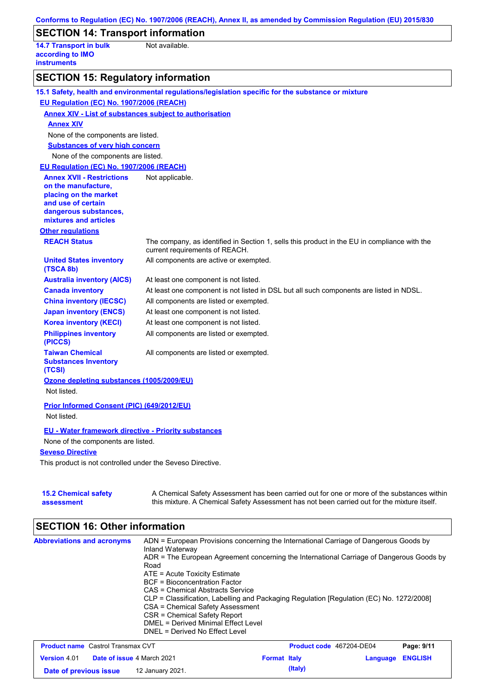|                                                                                                   | Conforms to Regulation (EC) No. 1907/2006 (REACH), Annex II, as amended by Commission Regulation (EU) 2015/830                                                                            |
|---------------------------------------------------------------------------------------------------|-------------------------------------------------------------------------------------------------------------------------------------------------------------------------------------------|
| <b>SECTION 14: Transport information</b>                                                          |                                                                                                                                                                                           |
| <b>14.7 Transport in bulk</b><br>according to IMO<br><b>instruments</b>                           | Not available.                                                                                                                                                                            |
| <b>SECTION 15: Regulatory information</b>                                                         |                                                                                                                                                                                           |
|                                                                                                   | 15.1 Safety, health and environmental regulations/legislation specific for the substance or mixture                                                                                       |
| EU Regulation (EC) No. 1907/2006 (REACH)                                                          |                                                                                                                                                                                           |
| <b>Annex XIV - List of substances subject to authorisation</b>                                    |                                                                                                                                                                                           |
| <b>Annex XIV</b>                                                                                  |                                                                                                                                                                                           |
| None of the components are listed.                                                                |                                                                                                                                                                                           |
| <b>Substances of very high concern</b>                                                            |                                                                                                                                                                                           |
| None of the components are listed.                                                                |                                                                                                                                                                                           |
| EU Regulation (EC) No. 1907/2006 (REACH)                                                          |                                                                                                                                                                                           |
| <b>Annex XVII - Restrictions</b>                                                                  | Not applicable.                                                                                                                                                                           |
| on the manufacture,                                                                               |                                                                                                                                                                                           |
| placing on the market<br>and use of certain                                                       |                                                                                                                                                                                           |
| dangerous substances,                                                                             |                                                                                                                                                                                           |
| mixtures and articles                                                                             |                                                                                                                                                                                           |
| <b>Other regulations</b>                                                                          |                                                                                                                                                                                           |
| <b>REACH Status</b>                                                                               | The company, as identified in Section 1, sells this product in the EU in compliance with the<br>current requirements of REACH.                                                            |
| <b>United States inventory</b><br>(TSCA 8b)                                                       | All components are active or exempted.                                                                                                                                                    |
| <b>Australia inventory (AICS)</b>                                                                 | At least one component is not listed.                                                                                                                                                     |
| <b>Canada inventory</b>                                                                           | At least one component is not listed in DSL but all such components are listed in NDSL.                                                                                                   |
| <b>China inventory (IECSC)</b>                                                                    | All components are listed or exempted.                                                                                                                                                    |
| <b>Japan inventory (ENCS)</b>                                                                     | At least one component is not listed.                                                                                                                                                     |
| <b>Korea inventory (KECI)</b>                                                                     | At least one component is not listed.                                                                                                                                                     |
| <b>Philippines inventory</b><br>(PICCS)                                                           | All components are listed or exempted.                                                                                                                                                    |
| <b>Taiwan Chemical</b><br><b>Substances Inventory</b><br>(TCSI)                                   | All components are listed or exempted.                                                                                                                                                    |
| Ozone depleting substances (1005/2009/EU)                                                         |                                                                                                                                                                                           |
| Not listed.                                                                                       |                                                                                                                                                                                           |
| Prior Informed Consent (PIC) (649/2012/EU)<br>Not listed.                                         |                                                                                                                                                                                           |
| <b>EU - Water framework directive - Priority substances</b><br>None of the components are listed. |                                                                                                                                                                                           |
| <b>Seveso Directive</b>                                                                           |                                                                                                                                                                                           |
| This product is not controlled under the Seveso Directive.                                        |                                                                                                                                                                                           |
| <b>15.2 Chemical safety</b><br>assessment                                                         | A Chemical Safety Assessment has been carried out for one or more of the substances within<br>this mixture. A Chemical Safety Assessment has not been carried out for the mixture itself. |

# **SECTION 16: Other information**

| <b>Abbreviations and acronyms</b> | Inland Waterway<br>Road<br>ATE = Acute Toxicity Estimate<br>BCF = Bioconcentration Factor<br>CAS = Chemical Abstracts Service<br>CSA = Chemical Safety Assessment<br>CSR = Chemical Safety Report<br>DMEL = Derived Minimal Effect Level<br>DNEL = Derived No Effect Level | ADN = European Provisions concerning the International Carriage of Dangerous Goods by<br>ADR = The European Agreement concerning the International Carriage of Dangerous Goods by<br>CLP = Classification, Labelling and Packaging Regulation [Regulation (EC) No. 1272/2008] |
|-----------------------------------|----------------------------------------------------------------------------------------------------------------------------------------------------------------------------------------------------------------------------------------------------------------------------|-------------------------------------------------------------------------------------------------------------------------------------------------------------------------------------------------------------------------------------------------------------------------------|
|                                   |                                                                                                                                                                                                                                                                            |                                                                                                                                                                                                                                                                               |

| <b>Product name</b> Castrol Transmax CVT |  |                                   | <b>Product code</b> 467204-DE04 |         | Page: 9/11              |  |
|------------------------------------------|--|-----------------------------------|---------------------------------|---------|-------------------------|--|
| <b>Version 4.01</b>                      |  | <b>Date of issue 4 March 2021</b> | <b>Format Italy</b>             |         | <b>Language ENGLISH</b> |  |
| Date of previous issue                   |  | 12 January 2021.                  |                                 | (Italy) |                         |  |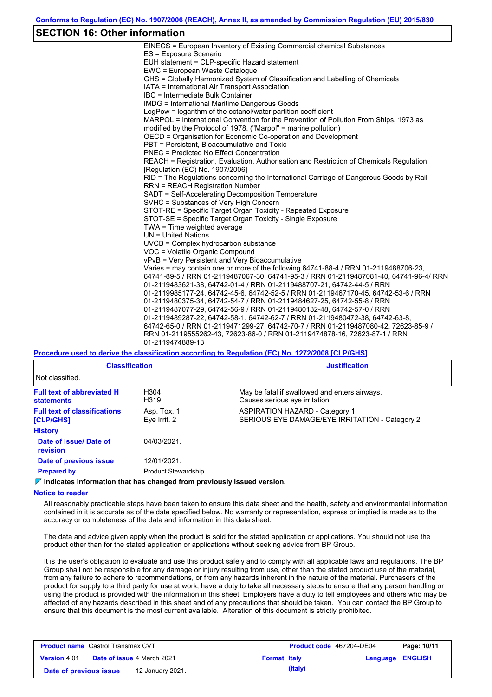### **SECTION 16: Other information**

| EINECS = European Inventory of Existing Commercial chemical Substances                  |
|-----------------------------------------------------------------------------------------|
| ES = Exposure Scenario                                                                  |
| EUH statement = CLP-specific Hazard statement                                           |
| EWC = European Waste Catalogue                                                          |
| GHS = Globally Harmonized System of Classification and Labelling of Chemicals           |
| IATA = International Air Transport Association                                          |
| IBC = Intermediate Bulk Container                                                       |
| IMDG = International Maritime Dangerous Goods                                           |
| LogPow = logarithm of the octanol/water partition coefficient                           |
| MARPOL = International Convention for the Prevention of Pollution From Ships, 1973 as   |
| modified by the Protocol of 1978. ("Marpol" = marine pollution)                         |
| OECD = Organisation for Economic Co-operation and Development                           |
| PBT = Persistent, Bioaccumulative and Toxic                                             |
| <b>PNEC = Predicted No Effect Concentration</b>                                         |
| REACH = Registration, Evaluation, Authorisation and Restriction of Chemicals Regulation |
| [Requlation (EC) No. 1907/2006]                                                         |
| RID = The Regulations concerning the International Carriage of Dangerous Goods by Rail  |
| <b>RRN = REACH Registration Number</b>                                                  |
| SADT = Self-Accelerating Decomposition Temperature                                      |
| SVHC = Substances of Very High Concern                                                  |
| STOT-RE = Specific Target Organ Toxicity - Repeated Exposure                            |
| STOT-SE = Specific Target Organ Toxicity - Single Exposure                              |
| TWA = Time weighted average                                                             |
| $UN = United Nations$                                                                   |
| $UVCB = Complex\;hydrocarbon\; substance$                                               |
| VOC = Volatile Organic Compound                                                         |
| vPvB = Very Persistent and Very Bioaccumulative                                         |
| Varies = may contain one or more of the following 64741-88-4 / RRN 01-2119488706-23,    |
| 64741-89-5 / RRN 01-2119487067-30, 64741-95-3 / RRN 01-2119487081-40, 64741-96-4/ RRN   |
| 01-2119483621-38, 64742-01-4 / RRN 01-2119488707-21, 64742-44-5 / RRN                   |
| 01-2119985177-24, 64742-45-6, 64742-52-5 / RRN 01-2119467170-45, 64742-53-6 / RRN       |
| 01-2119480375-34, 64742-54-7 / RRN 01-2119484627-25, 64742-55-8 / RRN                   |
| 01-2119487077-29, 64742-56-9 / RRN 01-2119480132-48, 64742-57-0 / RRN                   |
| 01-2119489287-22, 64742-58-1, 64742-62-7 / RRN 01-2119480472-38, 64742-63-8,            |
| 64742-65-0 / RRN 01-2119471299-27, 64742-70-7 / RRN 01-2119487080-42, 72623-85-9 /      |
| RRN 01-2119555262-43, 72623-86-0 / RRN 01-2119474878-16, 72623-87-1 / RRN               |
| 01-2119474889-13                                                                        |
|                                                                                         |

**Procedure used to derive the classification according to Regulation (EC) No. 1272/2008 [CLP/GHS]**

| <b>Classification</b>                                   |                             | <b>Justification</b>                                                                    |
|---------------------------------------------------------|-----------------------------|-----------------------------------------------------------------------------------------|
| Not classified.                                         |                             |                                                                                         |
| <b>Full text of abbreviated H</b><br><b>statements</b>  | H304<br>H319                | May be fatal if swallowed and enters airways.<br>Causes serious eye irritation.         |
| <b>Full text of classifications</b><br><b>[CLP/GHS]</b> | Asp. Tox. 1<br>Eye Irrit. 2 | <b>ASPIRATION HAZARD - Category 1</b><br>SERIOUS EYE DAMAGE/EYE IRRITATION - Category 2 |
| <b>History</b>                                          |                             |                                                                                         |
| Date of issue/ Date of<br>revision                      | 04/03/2021.                 |                                                                                         |
| Date of previous issue                                  | 12/01/2021.                 |                                                                                         |
| <b>Prepared by</b>                                      | <b>Product Stewardship</b>  |                                                                                         |

**Indicates information that has changed from previously issued version.**

#### **Notice to reader**

All reasonably practicable steps have been taken to ensure this data sheet and the health, safety and environmental information contained in it is accurate as of the date specified below. No warranty or representation, express or implied is made as to the accuracy or completeness of the data and information in this data sheet.

The data and advice given apply when the product is sold for the stated application or applications. You should not use the product other than for the stated application or applications without seeking advice from BP Group.

It is the user's obligation to evaluate and use this product safely and to comply with all applicable laws and regulations. The BP Group shall not be responsible for any damage or injury resulting from use, other than the stated product use of the material, from any failure to adhere to recommendations, or from any hazards inherent in the nature of the material. Purchasers of the product for supply to a third party for use at work, have a duty to take all necessary steps to ensure that any person handling or using the product is provided with the information in this sheet. Employers have a duty to tell employees and others who may be affected of any hazards described in this sheet and of any precautions that should be taken. You can contact the BP Group to ensure that this document is the most current available. Alteration of this document is strictly prohibited.

| <b>Product name</b> Castrol Transmax CVT |                                                          |                  |  | <b>Product code</b> 467204-DE04 |  | Page: 10/11 |
|------------------------------------------|----------------------------------------------------------|------------------|--|---------------------------------|--|-------------|
| <b>Version 4.01</b>                      | <b>Date of issue 4 March 2021</b><br><b>Format Italy</b> |                  |  | <b>Language ENGLISH</b>         |  |             |
| Date of previous issue                   |                                                          | 12 January 2021. |  | (Italy)                         |  |             |